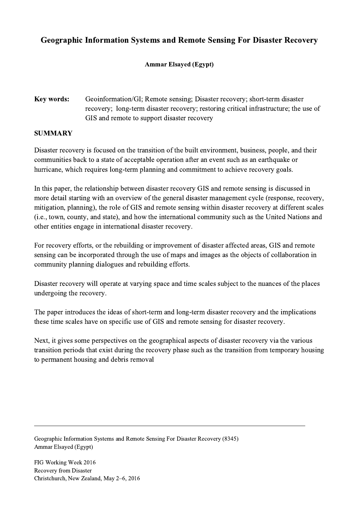## Geographic Information Systems and Remote Sensing For Disaster Recovery

## Ammar Elsayed (Egypt)

## Key words: Geoinformation/GI; Remote sensing; Disaster recovery; short-term disaster recovery; long-term disaster recovery; restoring critical infrastructure; the use of GIS and remote to support disaster recovery

## **SUMMARY**

Disaster recovery is focused on the transition of the built environment, business, people, and their communities back to a state of acceptable operation after an event such as an earthquake or hurricane, which requires long-term planning and commitment to achieve recovery goals.

In this paper, the relationship between disaster recovery GIS and remote sensing is discussed in more detail starting with an overview of the general disaster management cycle (response, recovery, mitigation, planning), the role of GIS and remote sensing within disaster recovery at different scales (i.e., town, county, and state), and how the international community such as the United Nations and other entities engage in international disaster recovery.

For recovery efforts, or the rebuilding or improvement of disaster affected areas, GIS and remote sensing can be incorporated through the use of maps and images as the objects of collaboration in community planning dialogues and rebuilding efforts.

Disaster recovery will operate at varying space and time scales subject to the nuances of the places undergoing the recovery.

The paper introduces the ideas of short-term and long-term disaster recovery and the implications these time scales have on specific use of GIS and remote sensing for disaster recovery.

Next, it gives some perspectives on the geographical aspects of disaster recovery via the various transition periods that exist during the recovery phase such as the transition from temporary housing to permanent housing and debris removal

 $\mathcal{L}_\mathcal{L} = \{ \mathcal{L}_\mathcal{L} = \{ \mathcal{L}_\mathcal{L} = \{ \mathcal{L}_\mathcal{L} = \{ \mathcal{L}_\mathcal{L} = \{ \mathcal{L}_\mathcal{L} = \{ \mathcal{L}_\mathcal{L} = \{ \mathcal{L}_\mathcal{L} = \{ \mathcal{L}_\mathcal{L} = \{ \mathcal{L}_\mathcal{L} = \{ \mathcal{L}_\mathcal{L} = \{ \mathcal{L}_\mathcal{L} = \{ \mathcal{L}_\mathcal{L} = \{ \mathcal{L}_\mathcal{L} = \{ \mathcal{L}_\mathcal{$ 

Geographic Information Systems and Remote Sensing For Disaster Recovery (8345) Ammar Elsayed (Egypt)

FIG Working Week 2016 Recovery from Disaster Christchurch, New Zealand, May 2–6, 2016